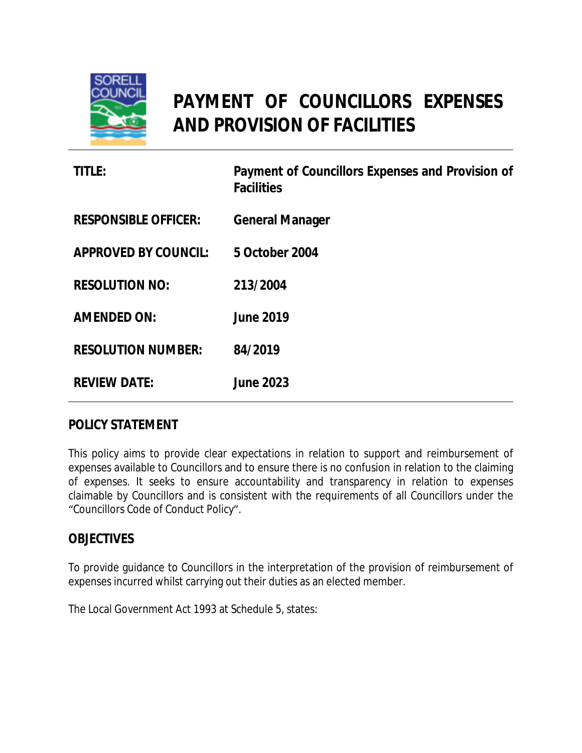

# **PAYMENT OF COUNCILLORS EXPENSES AND PROVISION OF FACILITIES**

| <b>TITLE:</b>               | Payment of Councillors Expenses and Provision of<br><b>Facilities</b> |
|-----------------------------|-----------------------------------------------------------------------|
| <b>RESPONSIBLE OFFICER:</b> | <b>General Manager</b>                                                |
| <b>APPROVED BY COUNCIL:</b> | 5 October 2004                                                        |
| <b>RESOLUTION NO:</b>       | 213/2004                                                              |
| <b>AMENDED ON:</b>          | <b>June 2019</b>                                                      |
| <b>RESOLUTION NUMBER:</b>   | 84/2019                                                               |
| <b>REVIEW DATE:</b>         | <b>June 2023</b>                                                      |

#### **POLICY STATEMENT**

This policy aims to provide clear expectations in relation to support and reimbursement of expenses available to Councillors and to ensure there is no confusion in relation to the claiming of expenses. It seeks to ensure accountability and transparency in relation to expenses claimable by Councillors and is consistent with the requirements of all Councillors under the "Councillors Code of Conduct Policy".

#### **OBJECTIVES**

To provide guidance to Councillors in the interpretation of the provision of reimbursement of expenses incurred whilst carrying out their duties as an elected member.

The Local Government Act 1993 at Schedule 5, states: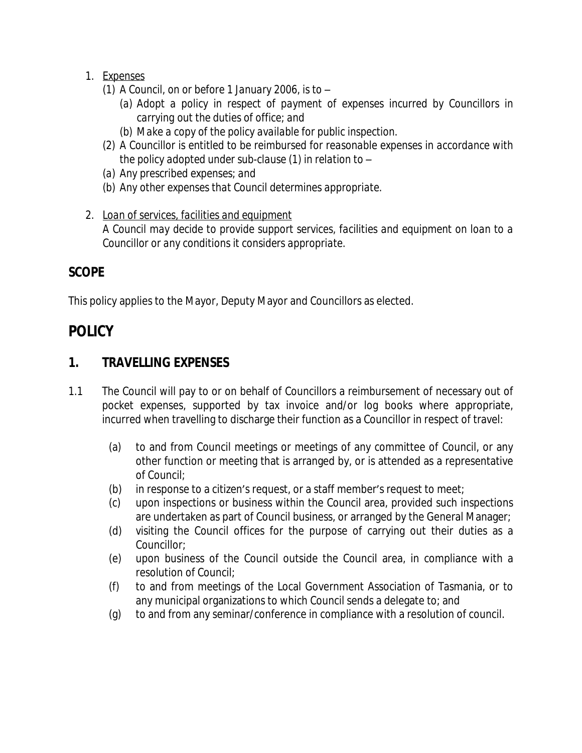- *1. Expenses*
	- *(1) A Council, on or before 1 January 2006, is to –*
		- *(a) Adopt a policy in respect of payment of expenses incurred by Councillors in carrying out the duties of office; and*
		- *(b) Make a copy of the policy available for public inspection.*
	- *(2) A Councillor is entitled to be reimbursed for reasonable expenses in accordance with the policy adopted under sub-clause (1) in relation to –*
	- *(a) Any prescribed expenses; and*
	- *(b) Any other expenses that Council determines appropriate.*
- *2. Loan of services, facilities and equipment A Council may decide to provide support services, facilities and equipment on loan to a Councillor or any conditions it considers appropriate.*

## **SCOPE**

This policy applies to the Mayor, Deputy Mayor and Councillors as elected.

## **POLICY**

## **1. TRAVELLING EXPENSES**

- 1.1 The Council will pay to or on behalf of Councillors a reimbursement of necessary out of pocket expenses, supported by tax invoice and/or log books where appropriate, incurred when travelling to discharge their function as a Councillor in respect of travel:
	- (a) to and from Council meetings or meetings of any committee of Council, or any other function or meeting that is arranged by, or is attended as a representative of Council;
	- (b) in response to a citizen's request, or a staff member's request to meet;
	- (c) upon inspections or business within the Council area, provided such inspections are undertaken as part of Council business, or arranged by the General Manager;
	- (d) visiting the Council offices for the purpose of carrying out their duties as a Councillor;
	- (e) upon business of the Council outside the Council area, in compliance with a resolution of Council;
	- (f) to and from meetings of the Local Government Association of Tasmania, or to any municipal organizations to which Council sends a delegate to; and
	- (g) to and from any seminar/conference in compliance with a resolution of council.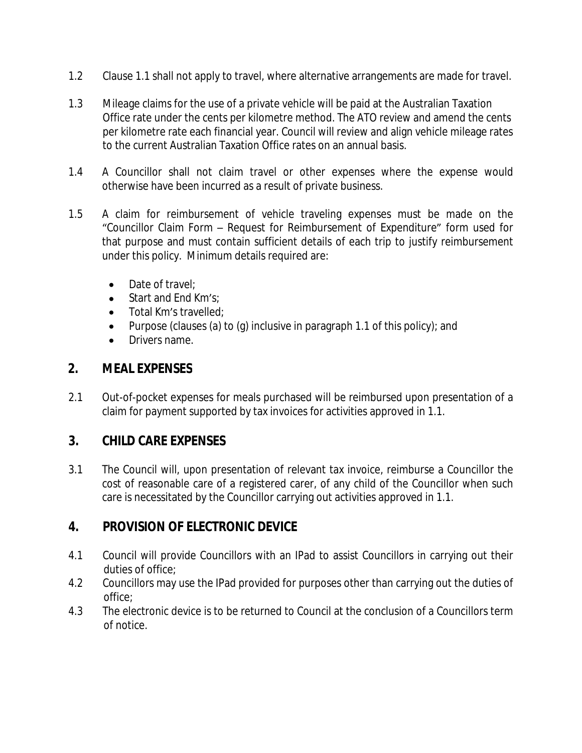- 1.2 Clause 1.1 shall not apply to travel, where alternative arrangements are made for travel.
- 1.3 Mileage claims for the use of a private vehicle will be paid at the Australian Taxation Office rate under the cents per kilometre method. The ATO review and amend the cents per kilometre rate each financial year. Council will review and align vehicle mileage rates to the current Australian Taxation Office rates on an annual basis.
- 1.4 A Councillor shall not claim travel or other expenses where the expense would otherwise have been incurred as a result of private business.
- 1.5 A claim for reimbursement of vehicle traveling expenses must be made on the "Councillor Claim Form – Request for Reimbursement of Expenditure" form used for that purpose and must contain sufficient details of each trip to justify reimbursement under this policy. Minimum details required are:
	- Date of travel:
	- Start and End Km's:
	- Total Km's travelled;
	- Purpose (clauses (a) to (g) inclusive in paragraph 1.1 of this policy); and
	- Drivers name.

#### **2. MEAL EXPENSES**

2.1 Out-of-pocket expenses for meals purchased will be reimbursed upon presentation of a claim for payment supported by tax invoices for activities approved in 1.1.

## **3. CHILD CARE EXPENSES**

3.1 The Council will, upon presentation of relevant tax invoice, reimburse a Councillor the cost of reasonable care of a registered carer, of any child of the Councillor when such care is necessitated by the Councillor carrying out activities approved in 1.1.

## **4. PROVISION OF ELECTRONIC DEVICE**

- 4.1 Council will provide Councillors with an IPad to assist Councillors in carrying out their duties of office;
- 4.2 Councillors may use the IPad provided for purposes other than carrying out the duties of office;
- 4.3 The electronic device is to be returned to Council at the conclusion of a Councillors term of notice.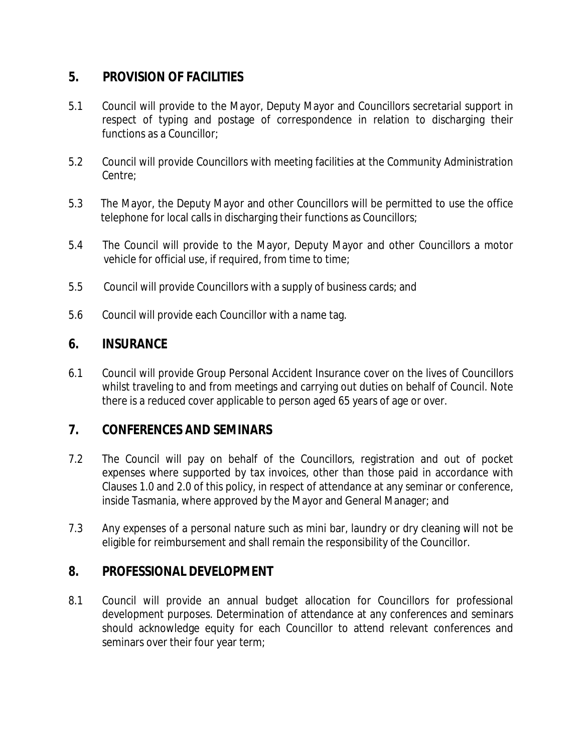### **5. PROVISION OF FACILITIES**

- 5.1 Council will provide to the Mayor, Deputy Mayor and Councillors secretarial support in respect of typing and postage of correspondence in relation to discharging their functions as a Councillor;
- 5.2 Council will provide Councillors with meeting facilities at the Community Administration Centre;
- 5.3 The Mayor, the Deputy Mayor and other Councillors will be permitted to use the office telephone for local calls in discharging their functions as Councillors;
- 5.4 The Council will provide to the Mayor, Deputy Mayor and other Councillors a motor vehicle for official use, if required, from time to time;
- 5.5 Council will provide Councillors with a supply of business cards; and
- 5.6 Council will provide each Councillor with a name tag.

#### **6. INSURANCE**

6.1 Council will provide Group Personal Accident Insurance cover on the lives of Councillors whilst traveling to and from meetings and carrying out duties on behalf of Council. Note there is a reduced cover applicable to person aged 65 years of age or over.

#### **7. CONFERENCES AND SEMINARS**

- 7.2 The Council will pay on behalf of the Councillors, registration and out of pocket expenses where supported by tax invoices, other than those paid in accordance with Clauses 1.0 and 2.0 of this policy, in respect of attendance at any seminar or conference, inside Tasmania, where approved by the Mayor and General Manager; and
- 7.3 Any expenses of a personal nature such as mini bar, laundry or dry cleaning will not be eligible for reimbursement and shall remain the responsibility of the Councillor.

#### **8. PROFESSIONAL DEVELOPMENT**

8.1 Council will provide an annual budget allocation for Councillors for professional development purposes. Determination of attendance at any conferences and seminars should acknowledge equity for each Councillor to attend relevant conferences and seminars over their four year term;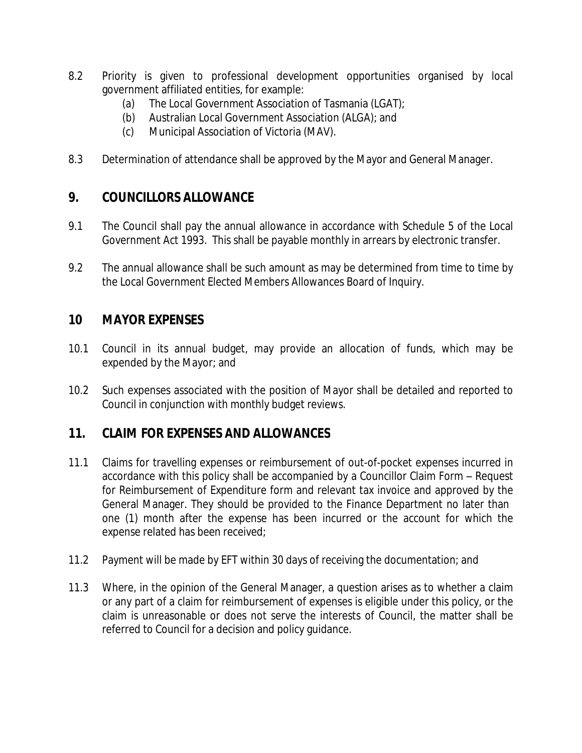- 8.2 Priority is given to professional development opportunities organised by local government affiliated entities, for example:
	- (a) The Local Government Association of Tasmania (LGAT);
	- (b) Australian Local Government Association (ALGA); and
	- (c) Municipal Association of Victoria (MAV).
- 8.3 Determination of attendance shall be approved by the Mayor and General Manager.

#### **9. COUNCILLORS ALLOWANCE**

- 9.1 The Council shall pay the annual allowance in accordance with Schedule 5 of the Local Government Act 1993. This shall be payable monthly in arrears by electronic transfer.
- 9.2 The annual allowance shall be such amount as may be determined from time to time by the Local Government Elected Members Allowances Board of Inquiry.

#### **10 MAYOR EXPENSES**

- 10.1 Council in its annual budget, may provide an allocation of funds, which may be expended by the Mayor; and
- 10.2 Such expenses associated with the position of Mayor shall be detailed and reported to Council in conjunction with monthly budget reviews.

#### **11. CLAIM FOR EXPENSES AND ALLOWANCES**

- 11.1 Claims for travelling expenses or reimbursement of out-of-pocket expenses incurred in accordance with this policy shall be accompanied by a Councillor Claim Form – Request for Reimbursement of Expenditure form and relevant tax invoice and approved by the General Manager. They should be provided to the Finance Department no later than one (1) month after the expense has been incurred or the account for which the expense related has been received;
- 11.2 Payment will be made by EFT within 30 days of receiving the documentation; and
- 11.3 Where, in the opinion of the General Manager, a question arises as to whether a claim or any part of a claim for reimbursement of expenses is eligible under this policy, or the claim is unreasonable or does not serve the interests of Council, the matter shall be referred to Council for a decision and policy guidance.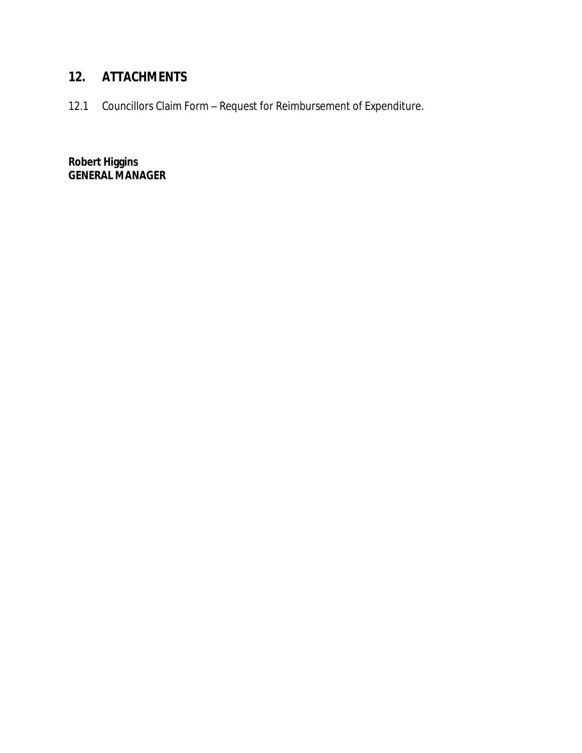## **12. ATTACHMENTS**

12.1 Councillors Claim Form – Request for Reimbursement of Expenditure.

**Robert Higgins GENERAL MANAGER**